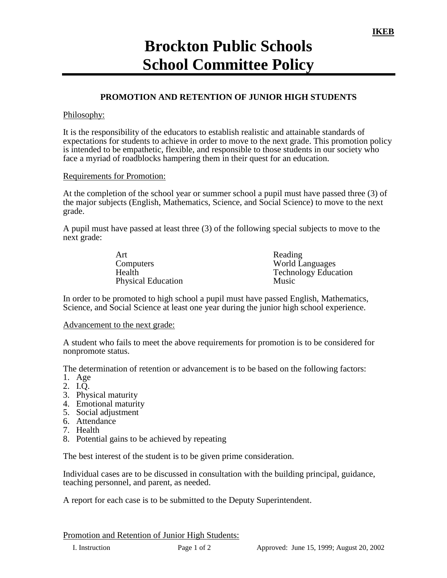# **Brockton Public Schools School Committee Policy**

## **PROMOTION AND RETENTION OF JUNIOR HIGH STUDENTS**

### Philosophy:

It is the responsibility of the educators to establish realistic and attainable standards of expectations for students to achieve in order to move to the next grade. This promotion policy is intended to be empathetic, flexible, and responsible to those students in our society who face a myriad of roadblocks hampering them in their quest for an education.

### Requirements for Promotion:

At the completion of the school year or summer school a pupil must have passed three (3) of the major subjects (English, Mathematics, Science, and Social Science) to move to the next grade.

A pupil must have passed at least three (3) of the following special subjects to move to the next grade:

| Art                       | Reading                     |
|---------------------------|-----------------------------|
| Computers                 | <b>World Languages</b>      |
| Health                    | <b>Technology Education</b> |
| <b>Physical Education</b> | Music                       |

In order to be promoted to high school a pupil must have passed English, Mathematics, Science, and Social Science at least one year during the junior high school experience.

#### Advancement to the next grade:

A student who fails to meet the above requirements for promotion is to be considered for nonpromote status.

The determination of retention or advancement is to be based on the following factors:

- 1. Age
- 2. I.Q.
- 3. Physical maturity
- 4. Emotional maturity
- 5. Social adjustment
- 6. Attendance
- 7. Health
- 8. Potential gains to be achieved by repeating

The best interest of the student is to be given prime consideration.

Individual cases are to be discussed in consultation with the building principal, guidance, teaching personnel, and parent, as needed.

A report for each case is to be submitted to the Deputy Superintendent.

Promotion and Retention of Junior High Students: